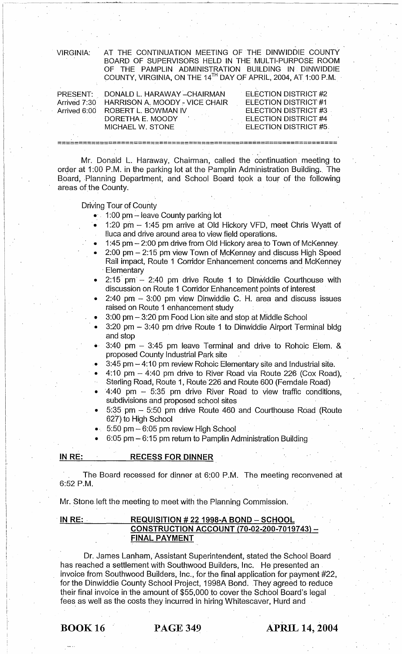| <b>VIRGINIA:</b>                         | AT THE CONTINUATION MEETING OF THE DINWIDDIE COUNTY<br>BOARD OF SUPERVISORS HELD IN THE MULTI-PURPOSE ROOM<br>OF THE PAMPLIN ADMINISTRATION BUILDING IN DINWIDDIE<br>COUNTY, VIRGINIA, ON THE 14TH DAY OF APRIL, 2004, AT 1:00 P.M. |                                                                                                                      |
|------------------------------------------|-------------------------------------------------------------------------------------------------------------------------------------------------------------------------------------------------------------------------------------|----------------------------------------------------------------------------------------------------------------------|
| PRESENT:<br>Arrived 7:30<br>Arrived 6:00 | DONALD L. HARAWAY - CHAIRMAN<br>HARRISON A. MOODY - VICE CHAIR<br>ROBERT L. BOWMAN IV<br>DORETHA E. MOODY<br>MICHAEL W. STONE                                                                                                       | ELECTION DISTRICT #2<br>ELECTION DISTRICT#1<br>ELECTION DISTRICT #3<br>ELECTION DISTRICT #4<br>ELECTION DISTRICT #5. |

Mr. Donald L. Haraway, Chairman, called the continuation meeting to order at 1:00 P.M. in the parking lot at the Pamplin Administration Building. The Board, Planning Department, and School Board took a tour of the following areas of the County.

Driving Tour of County

- $\bullet$  1.00 pm leave County parking lot
- 1 :20 pm 1 :45 pm arrive at Old Hickory VFD, meet Chris Wyatt of lIuca and drive around area to view field operations. .
- 1 :45 pm 2:00 pm drive from Old Hickory area to Town of McKenney
- 2:00 pm 2:15 pm view Town of McKenney and discuss High Speed Rail impact, Route 1 Corridor Enhancement concerns and McKenney . Elementary
- 2:15 pm  $-$  2:40 pm drive Route 1 to Dinwiddie Courthouse with discussion on Route 1 Corridor Enhancement points of interest
- 2:40 pm  $-$  3:00 pm view Dinwiddie C. H. area and discuss issues raised on Route 1 enhancement study .
- 3:00 pm 3:20 pm Food Lion site and stop at Middle School
- 3:20 pm 3:40 pm drive Route 1 to Dinwiddie Airport Terminal bldg and stop
- 3:40 pm  $-$  3:45 pm leave Terminal and drive to Rohoic Elem. & proposed County Industrial Park site
- 3:45 pm  $-$  4:10 pm review Rohoic Elementary site and Industrial site.
- 4:10 pm 4:40 pm drive to River Road via Route 226 (Cox Road), Sterling Road, Route 1, Route 226 and Route 600 (Ferndale Road)
- $4:40$  pm  $-5:35$  pm drive River Road to view traffic conditions, subdivisions and proposed school sites .
- 5:35 pm 5:50 pm drive Route 460 and Courthouse Road (Route 627) to High School
- $5.50$  pm  $-6.05$  pm review High School
- 6:05 pm 6:15 pm return to Pamplin Administration Building

**IN RE: RECESS FOR DINNER** 

The Board recessed for dinner at 6:00 P.M. The meeting reconvened at 6:52 P.M.

Mr. Stone left the meeting to meet with the Planning Commission.

# ·INRE: . **REQUISITION # 22 199B-ABOND - SCHOOL CONSTRUCTION ACCOUNT** (70-02-200-7019743)- **FINAL PAYMENT**

Dr. James Lanham, Assistant Superintendent, stated the School Board has reached a settlement with Southwood Builders, Inc. He presented an invoice from Southwood Builders, Inc., for the final application for payment #22, for the Dinwiddie County School Project, 1995A Bond. They agreed to reduce their final invoice in the amount of \$55,000 to cover the School Board's legal fees as well as the costs they incurred in hiring Whitescaver, Hurd and

i i I I i į.

# BOOK 16 PAGE 349 **APRIL** 14, **2004**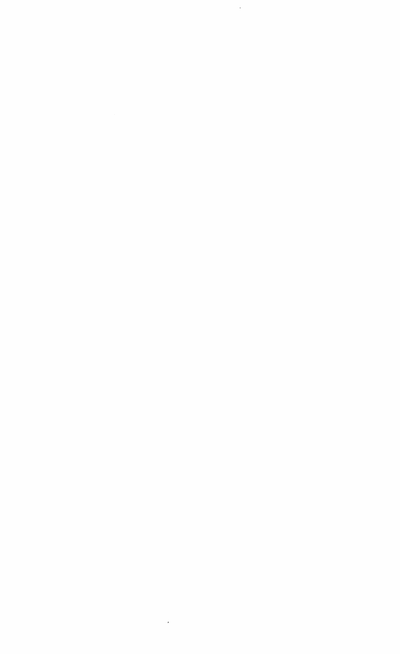$\mathcal{L}(\mathcal{A})$  .

 $\frac{1}{2}$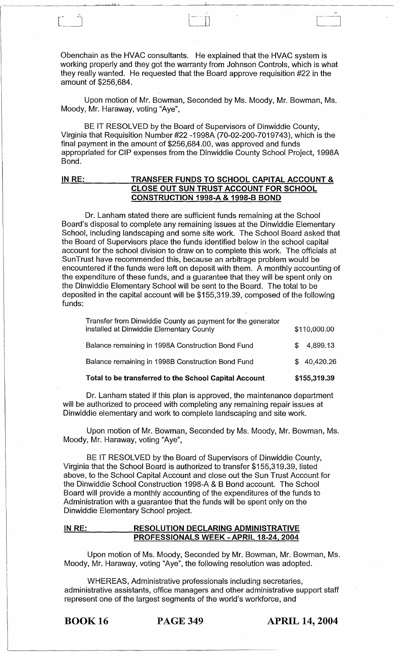Obenchain as the HVAC consultants. He explained that the HVAC system is working properly and they got the warranty from Johnson Controls, which is what they really wanted. He requested that the Board approve requisition #22 in the amount of \$256,684.

 $\leftarrow \hat{\mathsf{n}}$ 

باب عادنا

Upon motion of Mr. Bowman, Seconded by Ms. Moody, Mr. Bowman, Ms. Moody, Mr. Haraway, voting "Aye",

BE IT RESOLVED by the Board of Supervisors of Dinwiddie County, Virginia that Requisition Number #22 -1998A (70-02-200-7019743), which is the final payment in the amount of \$256,684.00, was approved and funds appropriated for CIP expenses from the Dinwiddie County School Project, 1998A Bond.

# IN RE: TRANSFER FUNDS TO SCHOOL CAPITAL ACCOUNT & CLOSE OUT SUN TRUST ACCOUNT FOR SCHOOL CONSTRUCTION 1998-A & 1998-B BOND

Dr. Lanham stated there are sufficient funds remaining at the School Board's disposal to complete any remaining issues at the Dinwiddie Elementary School, including landscaping and some site work. The School Board asked that the Board of Supervisors place the funds identified below in the school capital account for the school division to draw on to complete this work. The officials at SunTrust have recommended this, because an arbitrage problem would be encountered if the funds were left on deposit with them. A monthly accounting of the expenditure of these funds, and a guarantee that they will be spent only on the Dinwiddie Elementary School will be sent to the Board. The total to be deposited in the capital account will be \$155,319.39, composed of the following funds:

| Total to be transferred to the School Capital Account                                                   | \$155,319.39 |              |
|---------------------------------------------------------------------------------------------------------|--------------|--------------|
| Balance remaining in 1998B Construction Bond Fund                                                       |              | \$40,420.26  |
| Balance remaining in 1998A Construction Bond Fund                                                       |              | \$4,899.13   |
| Transfer from Dinwiddie County as payment for the generator<br>installed at Dinwiddie Elementary County |              | \$110,000.00 |

Dr. Lanham stated if this plan is approved, the maintenance department will be authorized to proceed with completing any remaining repair issues at Dinwiddie elementary and work to complete landscaping and site work.

Upon motion of Mr. Bowman, Seconded by Ms. Moody, Mr. Bowman, Ms. Moody, Mr. Haraway, voting "Aye",

BE IT RESOLVED by the Board of Supervisors of Dinwiddie County, Virginia that the School Board is authorized to transfer \$155,319.39, listed above, to the School Capital Account and close out the Sun Trust Account for the Dinwiddie School Construction 1998-A & B Bond account. The School Board will provide a monthly accounting of the expenditures of the funds to Administration with a guarantee that the funds will be spent only on the Dinwiddie Elementary School project.

#### IN RE: RESOLUTION DECLARING ADMINISTRATIVE PROFESSIONALS WEEK - APRIL 18-24, 2004

Upon motion of Ms. Moody, Seconded by Mr. Bowman, Mr. Bowman, Ms. Moody, Mr. Haraway, voting "Aye", the following resolution was adopted.

WHEREAS, Administrative professionals including secretaries, administrative assistants, office managers and other administrative support staff represent one of the largest segments of the world's workforce, and

BOOK 16 PAGE 349 APRIL 14, 2004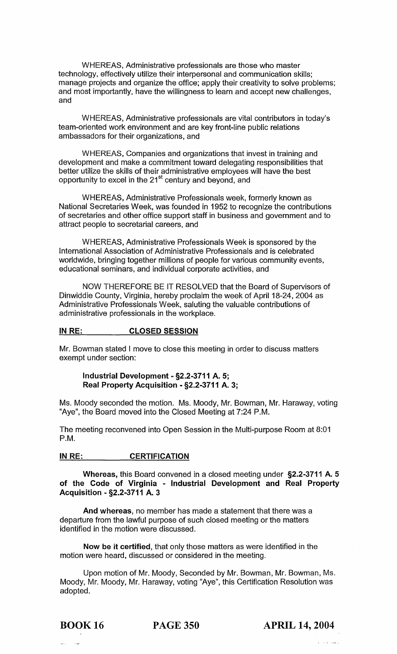WHEREAS, Administrative professionals are those who master technology, effectively utilize their interpersonal and communication skills; manage projects and organize the office; apply their creativity to solve problems; and most importantly, have the willingness to learn and accept new challenges, and

WHEREAS, Administrative professionals are vital contributors in today's team-oriented work environment and are key front-line public relations ambassadors for their organizations, and

WHEREAS, Companies and organizations that invest in training and development and make a commitment toward delegating responsibilities that better utilize the skills of their administrative employees will have the best opportunity to excel in the 21<sup>st</sup> century and beyond, and

WHEREAS, Administrative Professionals week, formerly known as National Secretaries Week, was founded in 1952 to recognize the contributions of secretaries and other office support staff in business and government and to attract people to secretarial careers, and

WHEREAS, Administrative Professionals Week is sponsored by the International Association of Administrative Professionals and is celebrated worldwide, bringing together millions of people for various community events, educational seminars, and individual corporate activities, and

NOW THEREFORE BE IT RESOLVED that the Board of Supervisors of Dinwiddie County, Virginia, hereby proclaim the week of April 18-24, 2004 as Administrative Professionals Week, saluting the valuable contributions of administrative professionals in the workplace.

#### IN RE: CLOSED SESSION

Mr. Bowman stated I move to close this meeting in order to discuss matters exempt under section:

### Industrial Development - §2.2-3711 A. 5; Real Property Acquisition - §2.2-3711 A. 3;

Ms. Moody seconded the motion. Ms. Moody, Mr. Bowman, Mr. Haraway, voting "Aye", the Board moved into the Closed Meeting at 7:24 P.M.

The meeting reconvened into Open Session in the Multi-purpose Room at 8:01 P.M.

#### IN RE: CERTIFICATION

Whereas, this Board convened in a closed meeting under §2.2-3711 A. 5 of the Code of Virginia - Industrial Development and Real Property Acquisition - §2.2-3711 A. 3

And whereas, no member has made a statement that there was a departure from the lawful purpose of such closed meeting or the matters identified in the motion were discussed.

Now be it certified, that only those matters as were identified in the motion were heard, discussed or considered in the meeting.

Upon motion of Mr. Moody, Seconded by Mr. Bowman, Mr. Bowman, Ms. Moody, Mr. Moody, Mr. Haraway, voting "Aye", this Certification Resolution was adopted.



BOOK 16 PAGE 350 APRIL 14, 2004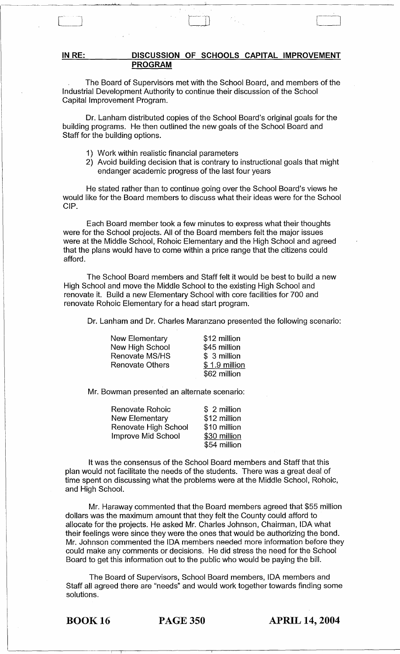#### IN RE: **DISCUSSION OF SCHOOLS CAPITAL IMPROVEMENT PROGRAM**

\_\_ ~ \_\_\_ ~ \_\_\_ ~ \_\_ ~\_~..,..JI ....... I,. ~" -----'~ \_\_ ~ \_\_\_ \_\_\_\_\_"\_\_ \_\_\_\_\_\_ ~ \_\_\_\_\_\_\_\_\_\_\_ \_

The Board of Supervisors met with the School Board, and members of the Industrial Development Authority to continue their discussion of the School Capital Improvement Program.

Dr. Lanham distributed copies of the School Board's original goals for the building programs. He then outlined the new goals of the School Board and Staff for the building options.

- 1) Work within realistic financial parameters
- 2) Avoid building decision that is contrary to instructional goals that might endanger academic progress of the last four years

He stated rather than to continue going over the School Board's views he would like for the Board members to discuss what their ideas were for the School CIP.

Each Board member took a few minutes to express what their thoughts were for the School projects. All of the Board members felt the major issues were at the Middle School, Rohoic Elementary and the High School and agreed that the plans would have to come within a price range that the citizens could afford.

The School Board members and Staff felt it would be best to build a new High School and move the Middle School to the existing High School and renovate it. Build a new Elementary School with core facilities for 700 and renovate Rohoic Elementary for a head start program.

Dr. Lanham and Dr. Charles Maranzano presented the following scenario:

| New Elementary         | \$12 million  |
|------------------------|---------------|
| New High School        | \$45 million  |
| Renovate MS/HS         | \$ 3 million  |
| <b>Renovate Others</b> | \$1.9 million |
|                        | \$62 million  |

Mr. Bowman presented an alternate scenario:

| Renovate Rohoic      | \$ 2 million |
|----------------------|--------------|
| New Elementary       | \$12 million |
| Renovate High School | \$10 million |
| Improve Mid School   | \$30 million |
|                      | \$54 million |

It was the consensus of the School Board members and Staff that this plan would not facilitate the needs of the students. There was a great deal of time spent on discussing what the problems were at the Middle School, Rohoic, and High School.

Mr. Haraway commented that the Board members agreed that \$55 million dollars was the maximum amount that they felt the County could afford to allocate for the projects. He asked Mr. Charles Johnson, Chairman, IDA what their feelings were since they were the ones that would be authorizing the bond. Mr. Johnson commented the IDA members needed more information before they could make any comments or decisions. He did stress the need for the School Board to get this information out to the public who would be paying the bill.

The Board of Supervisors, School Board members, IDA members and Staff all agreed there are "needs" and would work together towards finding some solutions.

<del>। न</del>

BOOK 16 PAGE 350 **APRIL 14, 2004**